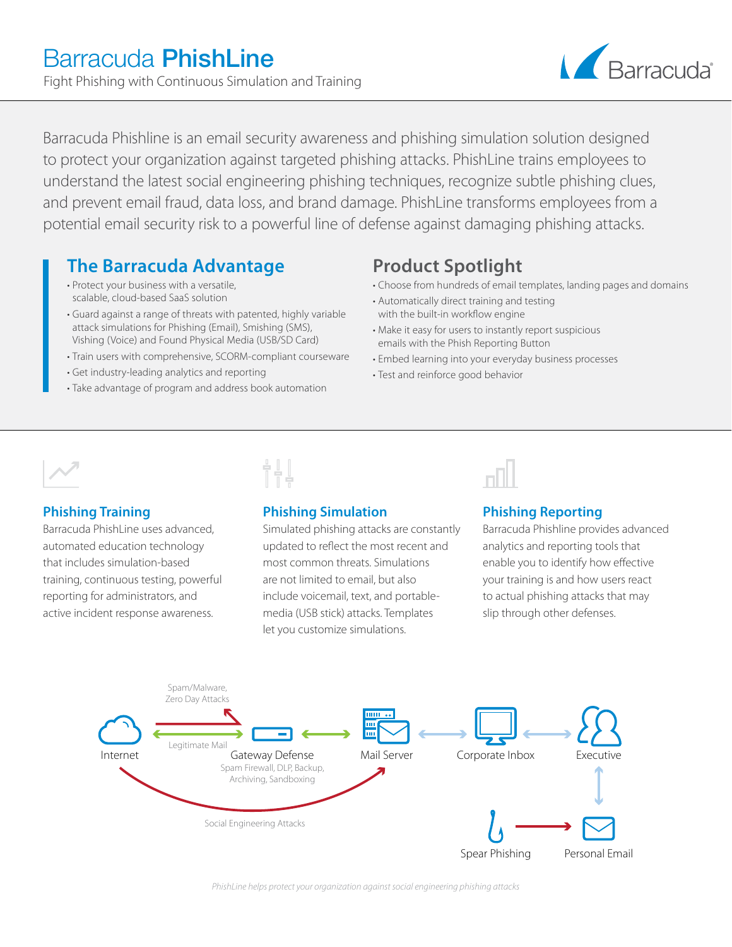

Barracuda Phishline is an email security awareness and phishing simulation solution designed to protect your organization against targeted phishing attacks. PhishLine trains employees to understand the latest social engineering phishing techniques, recognize subtle phishing clues, and prevent email fraud, data loss, and brand damage. PhishLine transforms employees from a potential email security risk to a powerful line of defense against damaging phishing attacks.

# **The Barracuda Advantage**

- Protect your business with a versatile, scalable, cloud-based SaaS solution
- Guard against a range of threats with patented, highly variable attack simulations for Phishing (Email), Smishing (SMS), Vishing (Voice) and Found Physical Media (USB/SD Card)
- Train users with comprehensive, SCORM-compliant courseware
- Get industry-leading analytics and reporting
- Take advantage of program and address book automation

# **Product Spotlight**

- Choose from hundreds of email templates, landing pages and domains
- Automatically direct training and testing with the built-in workflow engine
- Make it easy for users to instantly report suspicious emails with the Phish Reporting Button
- Embed learning into your everyday business processes
- Test and reinforce good behavior

## **Phishing Training**

Barracuda PhishLine uses advanced, automated education technology that includes simulation-based training, continuous testing, powerful reporting for administrators, and active incident response awareness.



## **Phishing Simulation**

Simulated phishing attacks are constantly updated to reflect the most recent and most common threats. Simulations are not limited to email, but also include voicemail, text, and portablemedia (USB stick) attacks. Templates let you customize simulations.



## **Phishing Reporting**

Barracuda Phishline provides advanced analytics and reporting tools that enable you to identify how effective your training is and how users react to actual phishing attacks that may slip through other defenses.



*PhishLine helps protect your organization against social engineering phishing attacks*